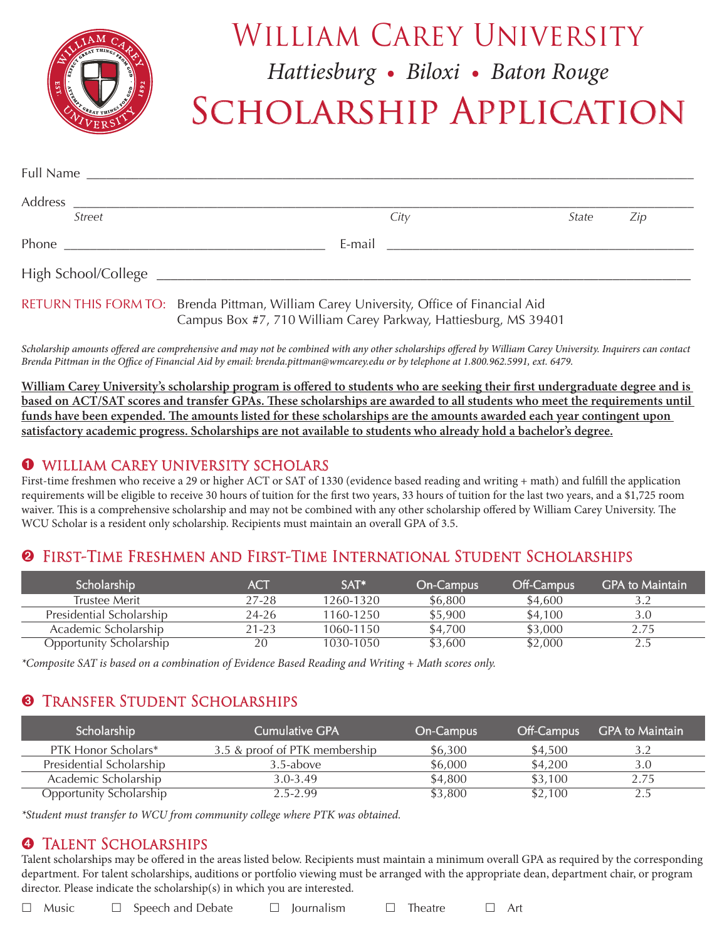

## WILLIAM CAREY UNIVERSITY

*Hattiesburg • Biloxi • Baton Rouge*

# SCHOLARSHIP APPLICATION

| <b>Street</b> | City                                                                                                                                                      | State | $\angle$ ip |
|---------------|-----------------------------------------------------------------------------------------------------------------------------------------------------------|-------|-------------|
|               |                                                                                                                                                           |       |             |
|               |                                                                                                                                                           |       |             |
|               | RETURN THIS FORM TO: Brenda Pittman, William Carey University, Office of Financial Aid<br>Campus Box #7, 710 William Carey Parkway, Hattiesburg, MS 39401 |       |             |

*Scholarship amounts offered are comprehensive and may not be combined with any other scholarships offered by William Carey University. Inquirers can contact Brenda Pittman in the Office of Financial Aid by email: brenda.pittman@wmcarey.edu or by telephone at 1.800.962.5991, ext. 6479.*

**William Carey University's scholarship program is offered to students who are seeking their first undergraduate degree and is based on ACT/SAT scores and transfer GPAs. These scholarships are awarded to all students who meet the requirements until funds have been expended. The amounts listed for these scholarships are the amounts awarded each year contingent upon satisfactory academic progress. Scholarships are not available to students who already hold a bachelor's degree.**

#### ➊WILLIAM CAREY UNIVERSITY SCHOLARS

First-time freshmen who receive a 29 or higher ACT or SAT of 1330 (evidence based reading and writing + math) and fulfill the application requirements will be eligible to receive 30 hours of tuition for the first two years, 33 hours of tuition for the last two years, and a \$1,725 room waiver. This is a comprehensive scholarship and may not be combined with any other scholarship offered by William Carey University. The WCU Scholar is a resident only scholarship. Recipients must maintain an overall GPA of 3.5.

#### ➋First-Time Freshmen and First-Time International Student Scholarships

| Scholarship                    | ACT   | $SAT*$    | <b>On-Campus</b> | <b>Off-Campus</b> | <b>GPA to Maintain</b> |
|--------------------------------|-------|-----------|------------------|-------------------|------------------------|
| Trustee Merit                  | 27-28 | 1260-1320 | \$6,800          | \$4,600           |                        |
| Presidential Scholarship       | 24-26 | 1160-1250 | \$5,900          | \$4,100           | 3.0                    |
| Academic Scholarship           | 21-23 | 1060-1150 | \$4,700          | \$3,000           | 2.75                   |
| <b>Opportunity Scholarship</b> | 20    | 1030-1050 | \$3,600          | \$2,000           |                        |

*\*Composite SAT is based on a combination of Evidence Based Reading and Writing + Math scores only.*

## ➌Transfer Student Scholarships

| Scholarship                    | Cumulative GPA                | On-Campus | Off-Campus | <b>GPA to Maintain</b> |
|--------------------------------|-------------------------------|-----------|------------|------------------------|
| PTK Honor Scholars*            | 3.5 & proof of PTK membership | \$6.300   | \$4,500    |                        |
| Presidential Scholarship       | 3.5-above                     | \$6,000   | \$4,200    | 3.0                    |
| Academic Scholarship           | $3.0 - 3.49$                  | \$4,800   | \$3,100    | 2.75                   |
| <b>Opportunity Scholarship</b> | 2.5-2.99                      | \$3,800   | \$2,100    |                        |

*\*Student must transfer to WCU from community college where PTK was obtained.*

#### ➍Talent Scholarships

Talent scholarships may be offered in the areas listed below. Recipients must maintain a minimum overall GPA as required by the corresponding department. For talent scholarships, auditions or portfolio viewing must be arranged with the appropriate dean, department chair, or program director. Please indicate the scholarship(s) in which you are interested.

 $\Box$  Music  $\Box$  Speech and Debate  $\Box$  Journalism  $\Box$  Theatre  $\Box$  Art